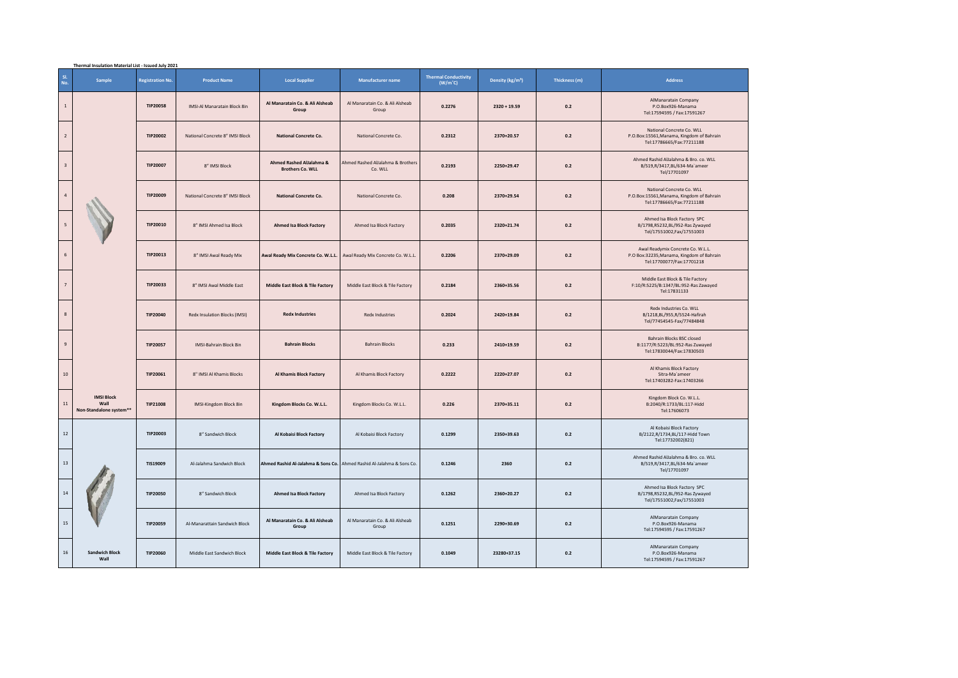|     | Thermal Insulation Material List - Issued July 2021  |                         |                                 |                                                                       |                                              |                                          |                              |               |                                                                                                             |  |  |
|-----|------------------------------------------------------|-------------------------|---------------------------------|-----------------------------------------------------------------------|----------------------------------------------|------------------------------------------|------------------------------|---------------|-------------------------------------------------------------------------------------------------------------|--|--|
| sı. | Sample<br>No.                                        | <b>Registration No.</b> | <b>Product Name</b>             | <b>Local Supplier</b>                                                 | Manufacturer name                            | <b>Thermal Conductivity</b><br>$(W/m^c)$ | Density (kg/m <sup>3</sup> ) | Thickness (m) | Address                                                                                                     |  |  |
|     | $\,$ 1 $\,$                                          | <b>TIP20058</b>         | IMSI-Al Manaratain Block 8in    | Al Manaratain Co. & Ali Alsheab<br>Group                              | Al Manaratain Co. & Ali Alsheab<br>Group     | 0.2276                                   | $2320 + 19.59$               | 0.2           | AlManaratain Company<br>P.O.Box926-Manama<br>Tel:17594595 / Fax:17591267                                    |  |  |
|     | $\overline{2}$                                       | TIP20002                | National Concrete 8" IMSI Block | National Concrete Co.                                                 | National Concrete Co.                        | 0.2312                                   | 2370+20.57                   | 0.2           | National Concrete Co. WLL<br>P.O.Box:15561,Manama, Kingdom of Bahrain<br>Tel:17786665/Fax:77211188          |  |  |
|     | $\mathsf 3$                                          | <b>TIP20007</b>         | 8" IMSI Block                   | Ahmed Rashed AlJalahma &<br><b>Brothers Co. WLL</b>                   | Ahmed Rashed AlJalahma & Brothers<br>Co. WLL | 0.2193                                   | 2250+29.47                   | 0.2           | Ahmed Rashid AlJalahma & Bro. co. WLL<br>B/519,R/3417,BL/634-Ma'ameer<br>Tel/17701097                       |  |  |
|     | $\sqrt{4}$                                           | TIP20009                | National Concrete 8" IMSI Block | <b>National Concrete Co.</b>                                          | National Concrete Co.                        | 0.208                                    | 2370+29.54                   | 0.2           | National Concrete Co. WLL<br>P.O.Box:15561, Manama, Kingdom of Bahrain<br>Tel:17786665/Fax:77211188         |  |  |
|     | $\overline{\phantom{a}}$                             | TIP20010                | 8" IMSI Ahmed Isa Block         | <b>Ahmed Isa Block Factory</b>                                        | Ahmed Isa Block Factory                      | 0.2035                                   | 2320+21.74                   | 0.2           | Ahmed Isa Block Factory SPC<br>B/1798, R5232, BL/952-Ras Zywayed<br>Tel/17551002,Fax/17551003               |  |  |
|     | $\,$ 6 $\,$                                          | TIP20013                | 8" IMSI Awal Ready Mix          | Awal Ready Mix Concrete Co. W.L.L.                                    | Awal Ready Mix Concrete Co. W.L.L.           | 0.2206                                   | 2370+29.09                   | 0.2           | Awal Readymix Concrete Co. W.L.L.<br>P.O Box:32235, Manama, Kingdom of Bahrain<br>Tel:17700077/Fax:17701218 |  |  |
|     | $\overline{7}$                                       | TIP20033                | 8" IMSI Awal Middle East        | <b>Middle East Block &amp; Tile Factory</b>                           | Middle East Block & Tile Factory             | 0.2184                                   | 2360+35.56                   | 0.2           | Middle East Block & Tile Factory<br>F:10/R:5225/B:1347/BL:952-Ras Zawayed<br>Tel:17831133                   |  |  |
|     | $\bf 8$                                              | TIP20040                | Redx Insulation Blocks (IMSI)   | <b>Redx Industries</b>                                                | <b>Redx Industries</b>                       | 0.2024                                   | 2420+19.84                   | 0.2           | Redx Industries Co. WLL<br>B/1218, BL/955, R/5524-Hafirah<br>Tel/77454545-Fax/77484848                      |  |  |
|     | $\overline{9}$                                       | <b>TIP20057</b>         | <b>IMSI-Bahrain Block 8in</b>   | <b>Bahrain Blocks</b>                                                 | <b>Bahrain Blocks</b>                        | 0.233                                    | 2410+19.59                   | 0.2           | Bahrain Blocks BSC closed<br>B:1177/R:5223/BL:952-Ras Zuwayed<br>Tel:17830044/Fax:17830503                  |  |  |
|     | $10\,$                                               | TIP20061                | 8" IMSI Al Khamis Blocks        | <b>Al Khamis Block Factory</b>                                        | Al Khamis Block Factory                      | 0.2222                                   | 2220+27.07                   | 0.2           | Al Khamis Block Factory<br>Sitra-Ma'ameer<br>Tel:17403282-Fax:17403266                                      |  |  |
| 11  | <b>IMSI Block</b><br>Wall<br>Non-Standalone system** | TIP21008                | IMSI-Kingdom Block 8in          | Kingdom Blocks Co. W.L.L.                                             | Kingdom Blocks Co. W.L.L.                    | 0.226                                    | 2370+35.11                   | 0.2           | Kingdom Block Co. W.L.L.<br>B:2040/R:1733/BL:117-Hidd<br>Tel:17606073                                       |  |  |
|     | $12\,$                                               | TIP20003                | 8" Sandwich Block               | Al Kobaisi Block Factory                                              | Al Kobaisi Block Factory                     | 0.1299                                   | 2350+39.63                   | 0.2           | Al Kobaisi Block Factory<br>B/2122,R/1734,BL/117-Hidd Town<br>Tel:17732002(821)                             |  |  |
|     | $13\,$                                               | TIS19009                | Al-Jalahma Sandwich Block       | Ahmed Rashid Al-Jalahma & Sons Co. Ahmed Rashid Al-Jalahma & Sons Co. |                                              | 0.1246                                   | 2360                         | 0.2           | Ahmed Rashid AlJalahma & Bro. co. WLL<br>B/519,R/3417,BL/634-Ma'ameer<br>Tel/17701097                       |  |  |
|     | $14\,$                                               | <b>TIP20050</b>         | 8" Sandwich Block               | <b>Ahmed Isa Block Factory</b>                                        | Ahmed Isa Block Factory                      | 0.1262                                   | 2360+20.27                   | 0.2           | Ahmed Isa Block Factory SPC<br>B/1798,R5232,BL/952-Ras Zywayed<br>Tel/17551002,Fax/17551003                 |  |  |
|     | 15                                                   | TIP20059                | Al-Manarattain Sandwich Block   | Al Manaratain Co. & Ali Alsheab<br>Group                              | Al Manaratain Co. & Ali Alsheab<br>Group     | 0.1251                                   | 2290+30.69                   | 0.2           | AlManaratain Company<br>P.O.Box926-Manama<br>Tel:17594595 / Fax:17591267                                    |  |  |
|     | 16<br><b>Sandwich Block</b><br>Wall                  | <b>TIP20060</b>         | Middle East Sandwich Block      | Middle East Block & Tile Factory                                      | Middle East Block & Tile Factory             | 0.1049                                   | 23280+37.15                  | 0.2           | AlManaratain Company<br>P.O.Box926-Manama<br>Tel:17594595 / Fax:17591267                                    |  |  |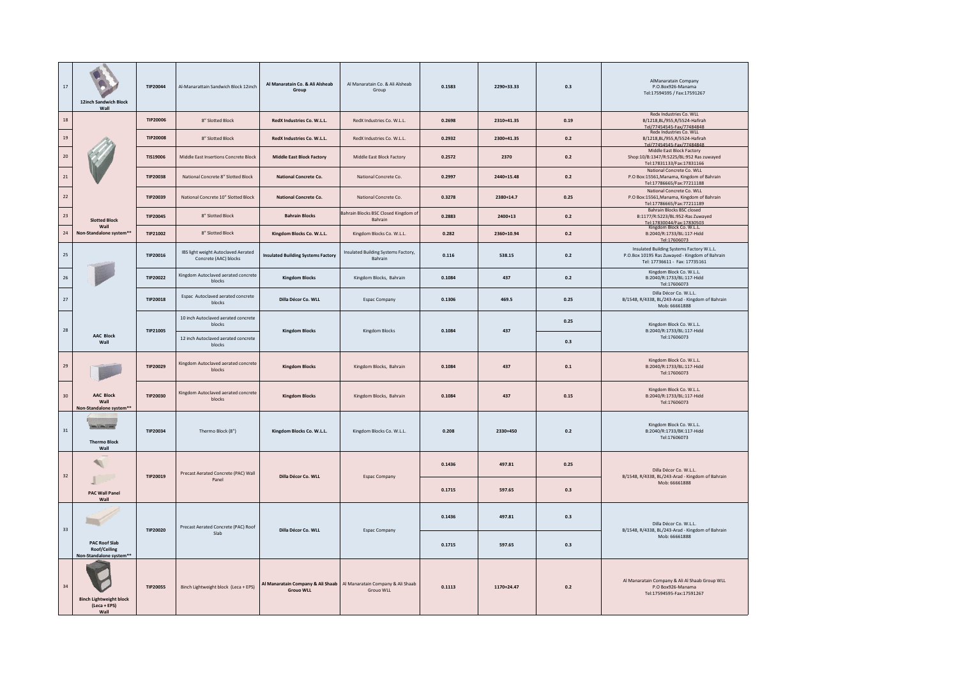| 17                            | 12inch Sandwich Block<br>Wall                                   | TIP20044<br>Al-Manarattain Sandwich Block 12inch |                                                              | Al Manaratain Co. & Ali Alsheab<br>Group  | Al Manaratain Co. & Ali Alsheab<br>Group                                            | 0.1583 | 2290+33.33 | 0.3     | AlManaratain Company<br>P.O.Box926-Manama<br>Tel:17594595 / Fax:17591267                                                     |
|-------------------------------|-----------------------------------------------------------------|--------------------------------------------------|--------------------------------------------------------------|-------------------------------------------|-------------------------------------------------------------------------------------|--------|------------|---------|------------------------------------------------------------------------------------------------------------------------------|
| 18                            |                                                                 | <b>TIP20006</b>                                  | 8" Slotted Block                                             | RedX Industries Co. W.L.L.                | RedX Industries Co. W.L.L.                                                          | 0.2698 | 2310+41.35 | 0.19    | Redx Industries Co. WLL<br>B/1218, BL/955, R/5524-Hafirah<br>Tel/77454545-Fax/77484848                                       |
| $19\,$                        |                                                                 | <b>TIP20008</b>                                  | 8" Slotted Block                                             | RedX Industries Co. W.L.L.                | RedX Industries Co. W.L.L.                                                          | 0.2932 | 2300+41.35 | 0.2     | Redx Industries Co. WLL<br>B/1218, BL/955, R/5524-Hafirah<br>Tel/77454545-Fax/77484848                                       |
| 20                            |                                                                 | TIS19006                                         | Middle East Insertions Concrete Block                        | <b>Middle East Block Factory</b>          | Middle East Block Factory                                                           | 0.2572 | 2370       | 0.2     | Middle East Block Factory<br>Shop:10/B:1347/R:5225/BL:952 Ras zuwayed<br>Tel:17831133/Fax:17831166                           |
| 21                            |                                                                 | TIP20038                                         | National Concrete 8" Slotted Block                           | National Concrete Co.                     | National Concrete Co.                                                               | 0.2997 | 2440+15.48 | $0.2\,$ | National Concrete Co. WLL<br>P.O Box:15561, Manama, Kingdom of Bahrain<br>Tel:17786665/Fax:77211188                          |
| $22\,$                        |                                                                 | TIP20039                                         | National Concrete 10" Slotted Block                          | <b>National Concrete Co.</b>              | National Concrete Co.                                                               | 0.3278 | 2380+14.7  | 0.25    | National Concrete Co. WLL<br>P.O Box:15561, Manama, Kingdom of Bahrain<br>Tel:17786665/Fax:77211189                          |
| $23\,$                        | <b>Slotted Block</b>                                            | <b>TIP20045</b>                                  | 8" Slotted Block                                             | <b>Bahrain Blocks</b>                     | Bahrain Blocks BSC Closed Kingdom of<br>Bahrain                                     | 0.2883 | $2400+13$  | 0.2     | Bahrain Blocks BSC closed<br>B:1177/R:5223/BL:952-Ras Zuwayed<br>Tel:17830044/Fax:17830503                                   |
| 24                            | Wall<br>Non-Standalone system**                                 | TIP21002                                         | 8" Slotted Block                                             | Kingdom Blocks Co. W.L.L.                 | Kingdom Blocks Co. W.L.L.                                                           | 0.282  | 2360+10.94 | $0.2\,$ | Kingdom Block Co. W.L.L.<br>B:2040/R:1733/BL:117-Hidd<br>Tel:17606073                                                        |
| $25\,$                        |                                                                 | TIP20016                                         | IBS light weight Autoclaved Aerated<br>Concrete (AAC) blocks | <b>Insulated Building Systems Factory</b> | Insulated Building Systems Factory,<br>Bahrain                                      | 0.116  | 538.15     | 0.2     | Insulated Building Systems Factory W.L.L.<br>P.O.Box 10195 Ras Zuwayed - Kingdom of Bahrain<br>Tel: 17736611 - Fax: 17735161 |
| 26                            | TIP20022                                                        |                                                  | Kingdom Autoclaved aerated concrete<br>blocks                | <b>Kingdom Blocks</b>                     | Kingdom Blocks, Bahrain                                                             | 0.1084 | 437        | 0.2     | Kingdom Block Co. W.L.L.<br>B:2040/R:1733/BL:117-Hidd<br>Tel:17606073                                                        |
| 27                            |                                                                 | <b>TIP20018</b>                                  | Espac Autoclaved aerated concrete<br>blocks                  | Dilla Décor Co. WLL                       | <b>Espac Company</b>                                                                | 0.1306 | 469.5      | 0.25    | Dilla Décor Co. W.L.L.<br>B/1548, R/4338, BL/243-Arad - Kingdom of Bahrain<br>Mob: 66661888                                  |
| 28                            |                                                                 | TIP21005                                         | 10 inch Autoclaved aerated concrete<br>blocks                | <b>Kingdom Blocks</b>                     | Kingdom Blocks                                                                      | 0.1084 | 437        | 0.25    | Kingdom Block Co. W.L.L.<br>B:2040/R:1733/BL:117-Hidd                                                                        |
|                               | <b>AAC Block</b><br>Wall                                        |                                                  | 12 inch Autoclaved aerated concrete<br>blocks                |                                           |                                                                                     |        |            | 0.3     | Tel:17606073                                                                                                                 |
| 29                            |                                                                 | TIP20029                                         | Kingdom Autoclaved aerated concrete<br>blocks                | <b>Kingdom Blocks</b>                     | Kingdom Blocks, Bahrain                                                             | 0.1084 | 437        | 0.1     | Kingdom Block Co. W.L.L.<br>B:2040/R:1733/BL:117-Hidd<br>Tel:17606073                                                        |
| 30                            | <b>AAC Block</b><br>Wall<br>Non-Standalone system**             | TIP20030                                         | Kingdom Autoclaved aerated concrete<br>blocks                | <b>Kingdom Blocks</b>                     | Kingdom Blocks, Bahrain                                                             | 0.1084 | 437        | 0.15    | Kingdom Block Co. W.L.L.<br>B:2040/R:1733/BL:117-Hidd<br>Tel:17606073                                                        |
| 31                            | <b>Case College College</b><br><b>Thermo Block</b><br>Wall      | TIP20034                                         | Thermo Block (8")                                            | Kingdom Blocks Co. W.L.L.                 | Kingdom Blocks Co. W.L.L.                                                           | 0.208  | 2330+450   | 0.2     | Kingdom Block Co. W.L.L.<br>B:2040/R:1733/BK:117-Hidd<br>Tel:17606073                                                        |
| 32                            |                                                                 | TIP20019                                         | Precast Aerated Concrete (PAC) Wall                          | Dilla Décor Co. WLL                       | <b>Espac Company</b>                                                                | 0.1436 | 497.81     | 0.25    | Dilla Décor Co. W.L.L.<br>B/1548, R/4338, BL/243-Arad - Kingdom of Bahrain                                                   |
| <b>PAC Wall Panel</b><br>Wall |                                                                 |                                                  | Panel                                                        |                                           |                                                                                     | 0.1715 | 597.65     | 0.3     | Mob: 66661888                                                                                                                |
|                               |                                                                 |                                                  | Precast Aerated Concrete (PAC) Roof<br>Slab                  | Dilla Décor Co. WLL                       |                                                                                     | 0.1436 | 497.81     | 0.3     | Dilla Décor Co. W.L.L.                                                                                                       |
| 33                            | <b>PAC Roof Slab</b><br>Roof/Ceiling<br>Non-Standalone system** | <b>TIP20020</b>                                  |                                                              |                                           | <b>Espac Company</b>                                                                | 0.1715 | 597.65     | 0.3     | B/1548, R/4338, BL/243-Arad - Kingdom of Bahrain<br>Mob: 66661888                                                            |
| 34                            | <b>8inch Lightweight block</b><br>(Leca + EPS)<br>Wall          | <b>TIP20055</b>                                  | 8inch Lightweight block (Leca + EPS)                         | <b>Group WLL</b>                          | Al Manaratain Company & Ali Shaab   Al Manaratain Company & Ali Shaab<br>Group WILL | 0.1113 | 1170+24.47 | 0.2     | Al Manaratain Company & Ali Al Shaab Group WLL<br>P.O Box926-Manama<br>Tel:17594595-Fax:17591267                             |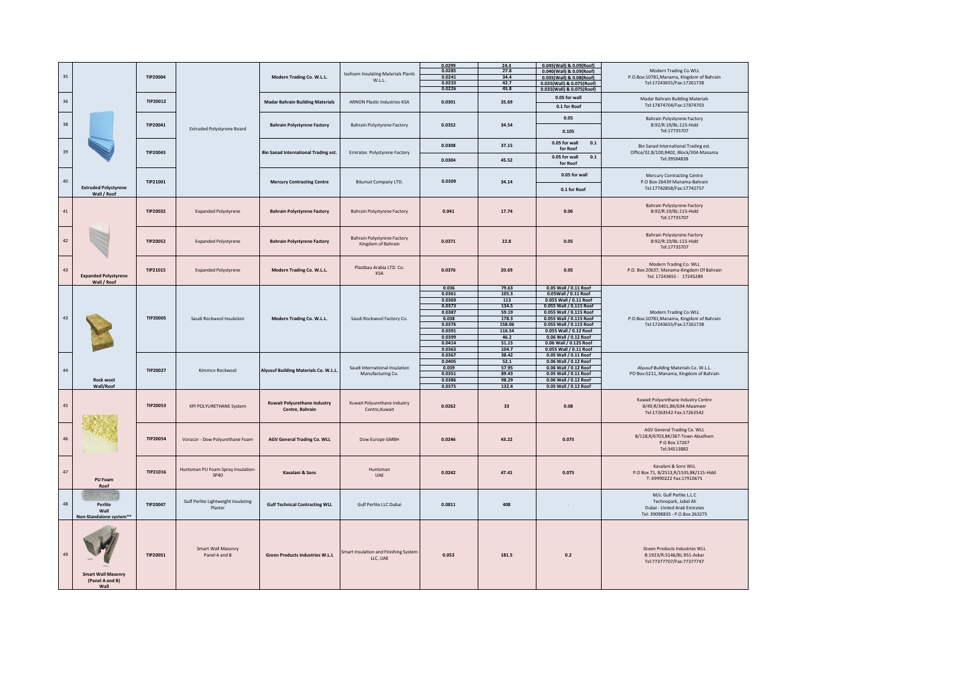| 35     |                                            |                 |                                            | Modern Trading Co. W.L.L.                       | <b>Isofoam Insulating Materials Plants</b>    | 0.0299<br>0.0285 | 24.3<br>27.8 | 0.045(Wall) & 0.09(Roof)<br>0.040(Wall) & 0.09(Roof) | Modern Trading Co.WLL<br>P.O.Box:10781, Manama, Kingdom of Bahrain    |  |
|--------|--------------------------------------------|-----------------|--------------------------------------------|-------------------------------------------------|-----------------------------------------------|------------------|--------------|------------------------------------------------------|-----------------------------------------------------------------------|--|
|        |                                            | TIP20004        |                                            |                                                 | W.L.L.                                        | 0.0241           | 34.4         | 0.035(Wall) & 0.08(Roof)                             |                                                                       |  |
|        |                                            |                 |                                            |                                                 |                                               | 0.0233           | 42.7         | 0.035(Wall) & 0.075(Roof)                            | Tel:17243655/Fax:17261738                                             |  |
|        |                                            |                 |                                            |                                                 |                                               | 0.0226           | 45.8         | 0.035(Wall) & 0.075(Roof)                            |                                                                       |  |
|        |                                            |                 |                                            |                                                 |                                               |                  |              | 0.05 for wall                                        | Madar Bahrain Building Materials                                      |  |
| $36\,$ |                                            | TIP20012        |                                            | <b>Madar Bahrain Building Materials</b>         | <b>ARNON Plastic Industries-KSA</b>           | 0.0301           | 35.69        |                                                      | Tel:17874704/Fax:17874703                                             |  |
|        |                                            |                 |                                            |                                                 |                                               |                  |              | 0.1 for Roof                                         |                                                                       |  |
|        |                                            |                 |                                            |                                                 |                                               |                  |              |                                                      |                                                                       |  |
|        |                                            |                 |                                            |                                                 |                                               |                  |              | 0.05                                                 | Bahrain Polystyrene Factory                                           |  |
| 38     |                                            | TIP20041        |                                            | <b>Bahrain Polystyrene Factory</b>              | <b>Bahrain Polystyrene Factory</b>            | 0.0352           | 34.54        |                                                      | B:92/R:19/BL:115-Hidd                                                 |  |
|        |                                            |                 | Extruded Polystyrene Board                 |                                                 |                                               |                  |              | 0.105                                                | Tel:17735707                                                          |  |
|        |                                            |                 |                                            |                                                 |                                               |                  |              |                                                      |                                                                       |  |
|        |                                            |                 |                                            |                                                 |                                               | 0.0308           | 37.15        | 0.05 for wall<br>0.1                                 |                                                                       |  |
| 39     |                                            |                 |                                            |                                                 |                                               |                  |              | for Roof                                             | Bin Sanad International Trading est.                                  |  |
|        |                                            | TIP20043        |                                            | <b>Bin Sanad International Trading est.</b>     | <b>Emirates Polystyrene Factory</b>           |                  |              | 0.05 for wall<br>$0.1\,$                             | Office/32,B/100,R402, Block/304-Manama<br>Tel:39584838                |  |
|        |                                            |                 |                                            |                                                 |                                               | 0.0304           | 45.52        | for Roof                                             |                                                                       |  |
|        |                                            |                 |                                            |                                                 |                                               |                  |              |                                                      |                                                                       |  |
|        |                                            |                 |                                            |                                                 |                                               |                  |              | 0.05 for wall                                        | Mercury Contracting Centre                                            |  |
| 40     |                                            | TIP21001        |                                            | <b>Mercury Contracting Centre</b>               | Bitumat Company LTD.                          | 0.0309           | 34.14        |                                                      | P.O Box-26439 Manama-Bahrain                                          |  |
|        | <b>Extruded Polystyrene</b>                |                 |                                            |                                                 |                                               |                  |              |                                                      | Tel:17742858/Fax:17742757                                             |  |
|        | Wall / Roof                                |                 |                                            |                                                 |                                               |                  |              | 0.1 for Roof                                         |                                                                       |  |
|        |                                            |                 |                                            |                                                 |                                               |                  |              |                                                      |                                                                       |  |
|        |                                            |                 |                                            |                                                 |                                               |                  |              |                                                      | <b>Bahrain Polystyrene Factory</b>                                    |  |
| 41     |                                            | TIP20032        |                                            |                                                 |                                               | 0.041            | 17.74        | 0.06                                                 | B:92/R:19/BL:115-Hidd                                                 |  |
|        |                                            |                 | <b>Expanded Polystyrene</b>                | <b>Bahrain Polystyrene Factory</b>              | Bahrain Polystyrene Factory                   |                  |              |                                                      |                                                                       |  |
|        |                                            |                 |                                            |                                                 |                                               |                  |              |                                                      | Tel:17735707                                                          |  |
|        |                                            |                 |                                            |                                                 |                                               |                  |              |                                                      |                                                                       |  |
|        |                                            |                 |                                            |                                                 |                                               |                  |              |                                                      | Bahrain Polystyrene Factory                                           |  |
| 42     |                                            | <b>TIP20052</b> |                                            |                                                 | Bahrain Polystyrene Factory                   | 0.0371           | 22.8         | 0.05                                                 | B:92/R:19/BL:115-Hidd                                                 |  |
|        |                                            |                 | <b>Expanded Polystyrene</b>                | <b>Bahrain Polystyrene Factory</b>              | Kingdom of Bahrain                            |                  |              |                                                      |                                                                       |  |
|        |                                            |                 |                                            |                                                 |                                               |                  |              |                                                      | Tel:17735707                                                          |  |
|        |                                            |                 |                                            |                                                 |                                               |                  |              |                                                      |                                                                       |  |
|        |                                            |                 |                                            |                                                 |                                               |                  |              |                                                      | Modern Trading Co. WLL                                                |  |
| 43     |                                            |                 |                                            |                                                 | Plastbau Arabia LTD. Co.                      |                  |              |                                                      |                                                                       |  |
|        |                                            | TIP21015        | <b>Expanded Polystyrene</b>                | Modern Trading Co. W.L.L.                       | KSA                                           | 0.0376           | 20.69        | 0.05                                                 | P.O. Box 20637, Manama-Kingdom Of Bahrain<br>Tel: 17243655 - 17245289 |  |
|        | <b>Expanded Polystyrene</b><br>Wall / Roof |                 |                                            |                                                 |                                               |                  |              |                                                      |                                                                       |  |
|        |                                            |                 |                                            |                                                 |                                               | 0.036            | 79.63        | 0.05 Wall / 0.11 Roof                                |                                                                       |  |
|        |                                            |                 |                                            |                                                 |                                               | 0.0361           | 105.3        | 0.05Wall / 0.11 Roof                                 |                                                                       |  |
|        |                                            |                 | Saudi Rockwool Insulation                  |                                                 |                                               | 0.0369           | 113          | 0.055 Wall / 0.11 Roof                               |                                                                       |  |
|        |                                            | <b>TIP20005</b> |                                            |                                                 | Saudi Rockwool Factory Co.                    | 0.0373           | 134.5        | 0.055 Wall / 0.115 Roof                              |                                                                       |  |
|        |                                            |                 |                                            |                                                 |                                               | 0.0387           | 59.19        |                                                      | Modern Trading Co.WLL                                                 |  |
| 43     |                                            |                 |                                            | Modern Trading Co. W.L.L.                       |                                               | 0.038            | 178.3        | 0.055 Wall / 0.115 Roof<br>0.055 Wall / 0.115 Roof   | P.O.Box:10781, Manama, Kingdom of Bahrain                             |  |
|        |                                            |                 |                                            |                                                 |                                               |                  |              |                                                      |                                                                       |  |
|        |                                            |                 |                                            |                                                 |                                               | 0.0376           | 158.06       | 0.055 Wall / 0.115 Roof                              | Tel:17243655/Fax:17261738                                             |  |
|        |                                            |                 |                                            |                                                 |                                               | 0.0391           | 116.54       | 0.055 Wall / 0.12 Roof                               |                                                                       |  |
|        |                                            |                 |                                            |                                                 |                                               | 0.0399           | 46.2         | 0.06 Wall / 0.12 Roof                                |                                                                       |  |
|        |                                            |                 |                                            |                                                 |                                               | 0.0414           | 51.15        | 0.06 Wall / 0.125 Roof                               |                                                                       |  |
|        |                                            |                 |                                            |                                                 |                                               | 0.0363           | 104.7        | 0.055 Wall / 0.11 Roof                               |                                                                       |  |
|        |                                            |                 |                                            |                                                 |                                               | 0.0367           | 38.42        | 0.05 Wall / 0.11 Roof                                |                                                                       |  |
|        |                                            |                 | Kimmco Rockwool                            | Alyusuf Building Materials Co. W.L.L.           |                                               | 0.0405           | 52.1         | 0.06 Wall / 0.12 Roof                                |                                                                       |  |
| 44     |                                            | TIP20027        |                                            |                                                 | Saudi International Insulation                | 0.039            | 57.95        | 0.06 Wall / 0.12 Roof                                | Alyusuf Building Materials Co. W.L.L.                                 |  |
|        | Rock wool                                  |                 |                                            |                                                 | Manufacturing Co.                             | 0.0351           | 89.43        | 0.05 Wall / 0.11 Roof                                | PO Box:5211, Manama, Kingdom of Bahrain                               |  |
|        |                                            |                 |                                            |                                                 |                                               | 0.0386           | 98.29        | 0.06 Wall / 0.12 Roof                                |                                                                       |  |
|        | Wall/Roof                                  |                 |                                            |                                                 |                                               | 0.0375           | 132.4        | 0.05 Wall / 0.12 Roof                                |                                                                       |  |
|        |                                            |                 |                                            |                                                 |                                               |                  |              |                                                      |                                                                       |  |
|        |                                            |                 |                                            | Kuwait Polyurethane Industry<br>Centre, Bahrain |                                               |                  |              |                                                      | Kuwait Polyurethane Industry Centre                                   |  |
| 45     |                                            | TIP20053        | <b>KPI POLYURETHANE System</b>             |                                                 | Kuwait Polyurethane Industry<br>Centre.Kuwait | 0.0262           | 33           | 0.08                                                 | B/49,R/3401,BK/634-Maameer                                            |  |
|        |                                            |                 |                                            |                                                 |                                               |                  |              |                                                      | Tel:17263542-Fax:17263542                                             |  |
|        |                                            |                 |                                            |                                                 |                                               |                  |              |                                                      |                                                                       |  |
|        |                                            |                 |                                            |                                                 |                                               |                  |              |                                                      |                                                                       |  |
|        |                                            |                 |                                            |                                                 |                                               |                  |              |                                                      | AGV General Trading Co. WLL                                           |  |
| 46     |                                            | TIP20054        |                                            |                                                 |                                               | 0.0246           | 43, 22       |                                                      | B/118,R/6703,BK/367-Town Abudham                                      |  |
|        |                                            |                 | Voracor - Dow Polyurethane Foam            | <b>AGV General Trading Co. WLL</b>              | Dow Europe GMBH                               |                  |              | 0.075                                                | P.O Box 17267                                                         |  |
|        |                                            |                 |                                            |                                                 |                                               |                  |              |                                                      | Tel:34513882                                                          |  |
|        |                                            |                 |                                            |                                                 |                                               |                  |              |                                                      |                                                                       |  |
|        |                                            |                 |                                            |                                                 |                                               |                  |              |                                                      |                                                                       |  |
|        |                                            |                 |                                            |                                                 |                                               |                  |              |                                                      | Kavalani & Sons WLL                                                   |  |
| 47     |                                            | TIP21016        | Huntsman PU Foam Spray Insulation-<br>SP40 | Kavalani & Sons                                 | Huntsman<br>UAE                               | 0.0242           | 47.41        | 0.075                                                | P.O Box 71, B/2513,R/1535,BK/115-Hidd                                 |  |
|        | PU Foam                                    |                 |                                            |                                                 |                                               |                  |              |                                                      | T: 69990222 Fax:17910675                                              |  |
|        | Roof                                       |                 |                                            |                                                 |                                               |                  |              |                                                      |                                                                       |  |
|        |                                            |                 |                                            |                                                 |                                               |                  |              |                                                      |                                                                       |  |
|        |                                            |                 |                                            |                                                 |                                               |                  |              |                                                      | M/s. Gulf Perlite L.L.C                                               |  |
| 48     | Perlite                                    | TIP20047        | Gulf Perlite Lightweight Insulating        | <b>Gulf Technical Contracting WLL</b>           | Gulf Perlite LLC Dubai                        | 0.0811           | 408          |                                                      | Technopark, Jabel Ali                                                 |  |
|        | Wall                                       |                 | Plaster                                    |                                                 |                                               |                  |              |                                                      | Dubai - United Arab Emirates                                          |  |
|        | Non-Standalone system**                    |                 |                                            |                                                 |                                               |                  |              |                                                      | Tel: 39098835 - P.O.Box 263275                                        |  |
|        |                                            |                 |                                            |                                                 |                                               |                  |              |                                                      |                                                                       |  |
|        |                                            |                 |                                            |                                                 |                                               |                  |              |                                                      |                                                                       |  |
|        |                                            |                 |                                            |                                                 |                                               |                  |              |                                                      |                                                                       |  |
|        |                                            |                 |                                            |                                                 |                                               |                  |              |                                                      |                                                                       |  |
|        |                                            |                 |                                            |                                                 |                                               |                  |              |                                                      |                                                                       |  |
|        |                                            |                 | Smart Wall Masonry                         |                                                 | imart Insulation and Finishing System         |                  |              |                                                      | Green Products Industries WLL                                         |  |
| 49     |                                            | <b>TIP20051</b> | Panel A and B                              | <b>Green Products Industries W.L.L</b>          | LLC, UAE                                      | 0.053            | 181.5        | 0.2                                                  | B:1923/R:5146/BL:951-Askar                                            |  |
|        |                                            |                 |                                            |                                                 |                                               |                  |              |                                                      | Tel:77377707/Fax:77377747                                             |  |
|        |                                            |                 |                                            |                                                 |                                               |                  |              |                                                      |                                                                       |  |
|        | <b>Smart Wall Masonry</b>                  |                 |                                            |                                                 |                                               |                  |              |                                                      |                                                                       |  |
|        | (Panel A and B)                            |                 |                                            |                                                 |                                               |                  |              |                                                      |                                                                       |  |
|        | Wall                                       |                 |                                            |                                                 |                                               |                  |              |                                                      |                                                                       |  |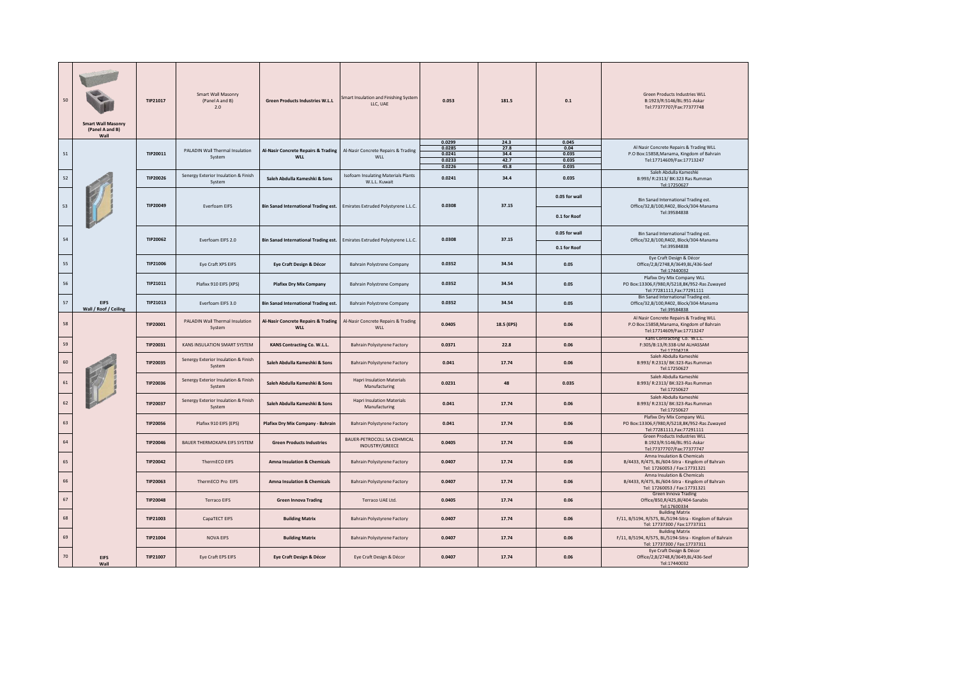| 50 | <b>Smart Wall Masonry</b><br>(Panel A and B)<br>Wall | TIP21017        | Smart Wall Masonry<br>(Panel A and B)<br>2.0   | <b>Green Products Industries W.L.L</b>                       | Smart Insulation and Finishing System<br>LLC, UAE           | 0.053                                          | 181.5                                | 0.1                                      | Green Products Industries WLL<br>B:1923/R:5146/BL:951-Askar<br>Tel:77377707/Fax:77377748                          |
|----|------------------------------------------------------|-----------------|------------------------------------------------|--------------------------------------------------------------|-------------------------------------------------------------|------------------------------------------------|--------------------------------------|------------------------------------------|-------------------------------------------------------------------------------------------------------------------|
| 51 |                                                      | TIP20011        | PALADIN Wall Thermal Insulation<br>System      | <b>Al-Nasir Concrete Repairs &amp; Trading</b><br><b>WLL</b> | Al-Nasir Concrete Repairs & Trading<br><b>WII</b>           | 0.0299<br>0.0285<br>0.0241<br>0.0233<br>0.0226 | 24.3<br>27.8<br>34.4<br>42.7<br>45.8 | 0.045<br>0.04<br>0.035<br>0.035<br>0.035 | Al Nasir Concrete Repairs & Trading WLL<br>P.O Box:15858, Manama, Kingdom of Bahrain<br>Tel:17714609/Fax:17713247 |
| 52 |                                                      | TIP20026        | Senergy Exterior Insulation & Finish<br>System | Saleh Abdulla Kameshki & Sons                                | <b>Isofoam Insulating Materials Plants</b><br>W.L.L. Kuwait | 0.0241                                         | 34.4                                 | 0.035                                    | Saleh Abdulla Kameshki<br>B:993/ R:2313/ BK:323 Ras Rumman<br>Tel:17250627                                        |
| 53 | TIP20049                                             |                 | Everfoam EIFS                                  | <b>Bin Sanad International Trading est.</b>                  | Emirates Extruded Polystyrene L.L.C.                        | 0.0308                                         | 37.15                                | 0.05 for wall<br>0.1 for Roof            | Bin Sanad International Trading est.<br>Office/32,B/100,R402, Block/304-Manama<br>Tel:39584838                    |
| 54 |                                                      | TIP20062        |                                                |                                                              |                                                             | 0.0308                                         | 37.15                                | 0.05 for wall                            | Bin Sanad International Trading est.                                                                              |
|    |                                                      |                 | Everfoam EIFS 2.0                              | <b>Bin Sanad International Trading est.</b>                  | Emirates Extruded Polystyrene L.L.C.                        |                                                |                                      | 0.1 for Roof                             | Office/32,B/100,R402, Block/304-Manama<br>Tel:39584838                                                            |
| 55 |                                                      | TIP21006        | Eye Craft XPS EIFS                             | Eye Craft Design & Décor                                     | <b>Bahrain Polystrene Company</b>                           | 0.0352                                         | 34.54                                | 0.05                                     | Eye Craft Design & Décor<br>Office/2,B/2748,R/3649,BL/436-Seef<br>Tel:17440032                                    |
| 56 |                                                      | TIP21011        | Plafixx 910 EIFS (XPS)                         | <b>Plafixx Dry Mix Company</b>                               | <b>Bahrain Polystrene Company</b>                           | 0.0352                                         | 34.54                                | 0.05                                     | Plafixx Dry Mix Company WLL<br>PO Box:13306,F/980,R/5218,BK/952-Ras Zuwayed<br>Tel:77281111, Fax: 77291111        |
| 57 | <b>EIFS</b><br>Wall / Roof / Ceiling                 | TIP21013        | Everfoam EIFS 3.0                              | <b>Bin Sanad International Trading est</b>                   | <b>Bahrain Polystrene Company</b>                           | 0.0352                                         | 34.54                                | 0.05                                     | Bin Sanad International Trading est.<br>Office/32,B/100,R402, Block/304-Manama<br>Tel:39584838                    |
| 58 |                                                      | TIP20001        | PALADIN Wall Thermal Insulation<br>System      | <b>Al-Nasir Concrete Repairs &amp; Trading</b><br><b>WLL</b> | Al-Nasir Concrete Repairs & Trading<br>WLL                  | 0.0405                                         | 18.5 (EPS)                           | 0.06                                     | Al Nasir Concrete Repairs & Trading WLL<br>P.O Box:15858, Manama, Kingdom of Bahrain<br>Tel:17714609/Fax:17713247 |
| 59 |                                                      | TIP20031        | KANS INSULATION SMART SYSTEM                   | KANS Contracting Co. W.L.L.                                  | Bahrain Polystyrene Factory                                 | 0.0371                                         | 22.8                                 | 0.06                                     | Kans Contracting Co. W.L.L.<br>F:305/B:13/R:338-UM ALHASSAM<br>Tel:17704218                                       |
| 60 |                                                      | TIP20035        | Senergy Exterior Insulation & Finish<br>System | Saleh Abdulla Kameshki & Sons                                | Bahrain Polystyrene Factory                                 | 0.041                                          | 17.74                                | 0.06                                     | Saleh Abdulla Kameshki<br>B:993/ R:2313/ BK:323-Ras Rumman<br>Tel:17250627                                        |
| 61 |                                                      | TIP20036        | Senergy Exterior Insulation & Finish<br>System | Saleh Abdulla Kameshki & Sons                                | <b>Hapri Insulation Materials</b><br>Manufacturing          | 0.0231                                         | 48                                   | 0.035                                    | Saleh Abdulla Kameshki<br>B:993/ R:2313/ BK:323-Ras Rumman<br>Tel:17250627                                        |
| 62 |                                                      | TIP20037        | Senergy Exterior Insulation & Finish<br>System | Saleh Abdulla Kameshki & Sons                                | <b>Hapri Insulation Materials</b><br>Manufacturing          | 0.041                                          | 17.74                                | 0.06                                     | Saleh Abdulla Kameshki<br>B:993/ R:2313/ BK:323-Ras Rumman<br>Tel:17250627                                        |
| 63 |                                                      | <b>TIP20056</b> | Plafixx 910 EIFS (EPS)                         | Plafixx Dry Mix Company - Bahrain                            | Bahrain Polystyrene Factory                                 | 0.041                                          | 17.74                                | 0.06                                     | Plafixx Dry Mix Company WLL<br>PO Box:13306,F/980,R/5218,BK/952-Ras Zuwayed<br>Tel:77281111, Fax: 77291111        |
| 64 |                                                      | TIP20046        | BAUER THERMOKAPA EIFS SYSTEM                   | <b>Green Products Industries</b>                             | BAUER-PETROCOLL SA CEHMICAL<br>INDUSTRY/GREECE              | 0.0405                                         | 17.74                                | 0.06                                     | Green Products Industries WLL<br>B:1923/R:5146/BL:951-Askar<br>Tel:77377707/Fax:77377747                          |
| 65 |                                                      | TIP20042        | ThermECO EIFS                                  | <b>Amna Insulation &amp; Chemicals</b>                       | <b>Bahrain Polystyrene Factory</b>                          | 0.0407                                         | 17.74                                | 0.06                                     | Amna Insulation & Chemicals<br>B/4433, R/475, BL/604-Sitra - Kingdom of Bahrain<br>Tel: 17260053 / Fax:17731321   |
| 66 |                                                      | TIP20063        | ThermECO Pro EIFS                              | <b>Amna Insulation &amp; Chemicals</b>                       | Bahrain Polystyrene Factory                                 | 0.0407                                         | 17.74                                | 0.06                                     | Amna Insulation & Chemicals<br>B/4433, R/475, BL/604-Sitra - Kingdom of Bahrain<br>Tel: 17260053 / Fax:17731321   |
| 67 |                                                      | <b>TIP20048</b> | <b>Terraco EIFS</b>                            | <b>Green Innova Trading</b>                                  | Terraco UAE Ltd.                                            | 0.0405                                         | 17.74                                | 0.06                                     | Green Innova Trading<br>Office/850,R/425,BI/404-Sanabis<br>Tel:17600334                                           |
| 68 |                                                      | TIP21003        | CapaTECT EIFS                                  | <b>Building Matrix</b>                                       | <b>Bahrain Polystyrene Factory</b>                          | 0.0407                                         | 17.74                                | 0.06                                     | <b>Building Matrix</b><br>F/11, B/5194, R/575, BL/5194-Sitra - Kingdom of Bahrain<br>Tel: 17737300 / Fax:17737311 |
| 69 |                                                      | TIP21004        | <b>NOVA EIFS</b>                               | <b>Building Matrix</b>                                       | <b>Bahrain Polystyrene Factory</b>                          | 0.0407                                         | 17.74                                | 0.06                                     | <b>Building Matrix</b><br>F/11, B/5194, R/575, BL/5194-Sitra - Kingdom of Bahrain<br>Tel: 17737300 / Fax:17737311 |
| 70 | <b>EIFS</b><br>Wall                                  | TIP21007        | Eye Craft EPS EIFS                             | Eye Craft Design & Décor                                     | Eye Craft Design & Décor                                    | 0.0407                                         | 17.74                                | 0.06                                     | Eye Craft Design & Décor<br>Office/2,B/2748,R/3649,BL/436-Seef<br>Tel:17440032                                    |